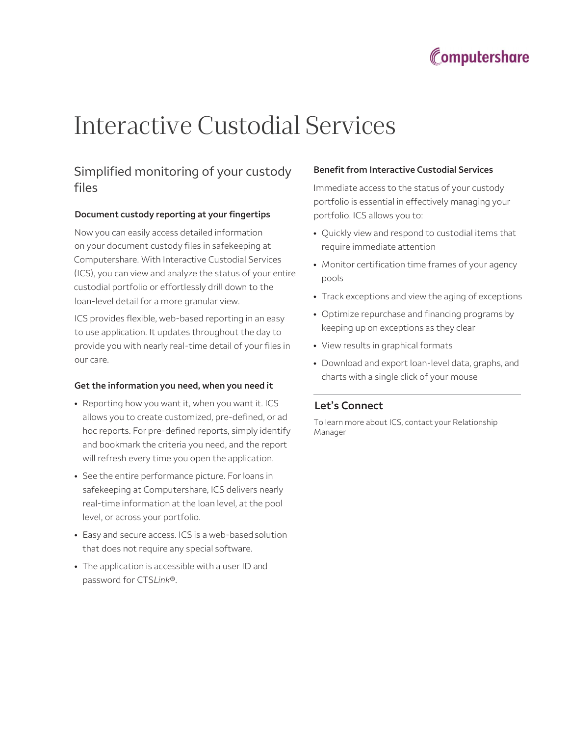

# Interactive Custodial Services

## Simplified monitoring of your custody files

#### Document custody reporting at your fingertips

Now you can easily access detailed information on your document custody files in safekeeping at Computershare. With Interactive Custodial Services (ICS), you can view and analyze the status of your entire custodial portfolio or effortlessly drill down to the loan-level detail for a more granular view.

ICS provides flexible, web-based reporting in an easy to use application. It updates throughout the day to provide you with nearly real-time detail of your files in our care.

#### Get the information you need, when you need it

- Reporting how you want it, when you want it. ICS allows you to create customized, pre-defined, or ad hoc reports. For pre-defined reports, simply identify and bookmark the criteria you need, and the report will refresh every time you open the application.
- See the entire performance picture. For loans in safekeeping at Computershare, ICS delivers nearly real-time information at the loan level, at the pool level, or across your portfolio.
- Easy and secure access. ICS is a web-based solution that does not require any special software.
- The application is accessible with a user ID and password for CTSLink®.

#### Benefit from Interactive Custodial Services

Immediate access to the status of your custody portfolio is essential in effectively managing your portfolio. ICS allows you to:

- Quickly view and respond to custodial items that require immediate attention
- Monitor certification time frames of your agency pools
- Track exceptions and view the aging of exceptions
- Optimize repurchase and financing programs by keeping up on exceptions as they clear
- View results in graphical formats
- Download and export loan-level data, graphs, and charts with a single click of your mouse

### Let's Connect

To learn more about ICS, contact your Relationship Manager